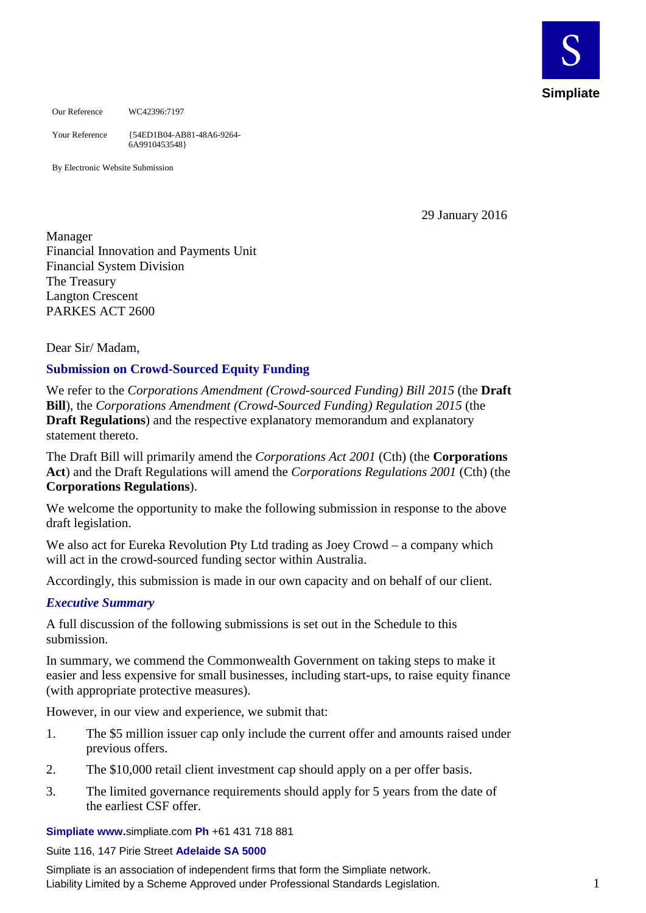

Our Reference WC42396:7197

Your Reference {54ED1B04-AB81-48A6-9264- 6A9910453548}

By Electronic Website Submission

29 January 2016

Manager Financial Innovation and Payments Unit Financial System Division The Treasury Langton Crescent PARKES ACT 2600

Dear Sir/ Madam,

# **Submission on Crowd-Sourced Equity Funding**

We refer to the *Corporations Amendment (Crowd-sourced Funding) Bill 2015* (the **Draft Bill**), the *Corporations Amendment (Crowd-Sourced Funding) Regulation 2015* (the **Draft Regulations**) and the respective explanatory memorandum and explanatory statement thereto.

The Draft Bill will primarily amend the *Corporations Act 2001* (Cth) (the **Corporations Act**) and the Draft Regulations will amend the *Corporations Regulations 2001* (Cth) (the **Corporations Regulations**).

We welcome the opportunity to make the following submission in response to the above draft legislation.

We also act for Eureka Revolution Pty Ltd trading as Joey Crowd – a company which will act in the crowd-sourced funding sector within Australia.

Accordingly, this submission is made in our own capacity and on behalf of our client.

# *Executive Summary*

A full discussion of the following submissions is set out in the Schedule to this submission.

In summary, we commend the Commonwealth Government on taking steps to make it easier and less expensive for small businesses, including start-ups, to raise equity finance (with appropriate protective measures).

However, in our view and experience, we submit that:

- 1. The \$5 million issuer cap only include the current offer and amounts raised under previous offers.
- 2. The \$10,000 retail client investment cap should apply on a per offer basis.
- 3. The limited governance requirements should apply for 5 years from the date of the earliest CSF offer.

**Simpliate www.**[simpliate.com](http://www.simpliate.com/) **Ph** +61 431 718 881

#### Suite 116, 147 Pirie Street **Adelaide SA 5000**

Simpliate is an association of independent firms that form the Simpliate network. Liability Limited by a Scheme Approved under Professional Standards Legislation. 1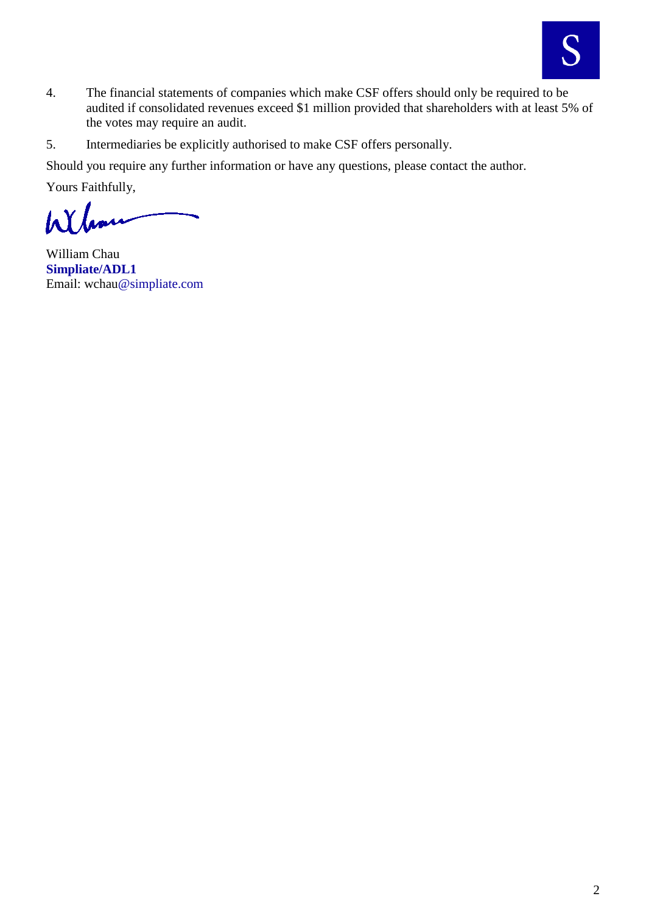

- 4. The financial statements of companies which make CSF offers should only be required to be audited if consolidated revenues exceed \$1 million provided that shareholders with at least 5% of the votes may require an audit.
- 5. Intermediaries be explicitly authorised to make CSF offers personally.

Should you require any further information or have any questions, please contact the author.

Yours Faithfully,

Wh

William Chau **Simpliate/ADL1** Email: [wchau@simpliate.com](mailto:wchau@simpliate.com)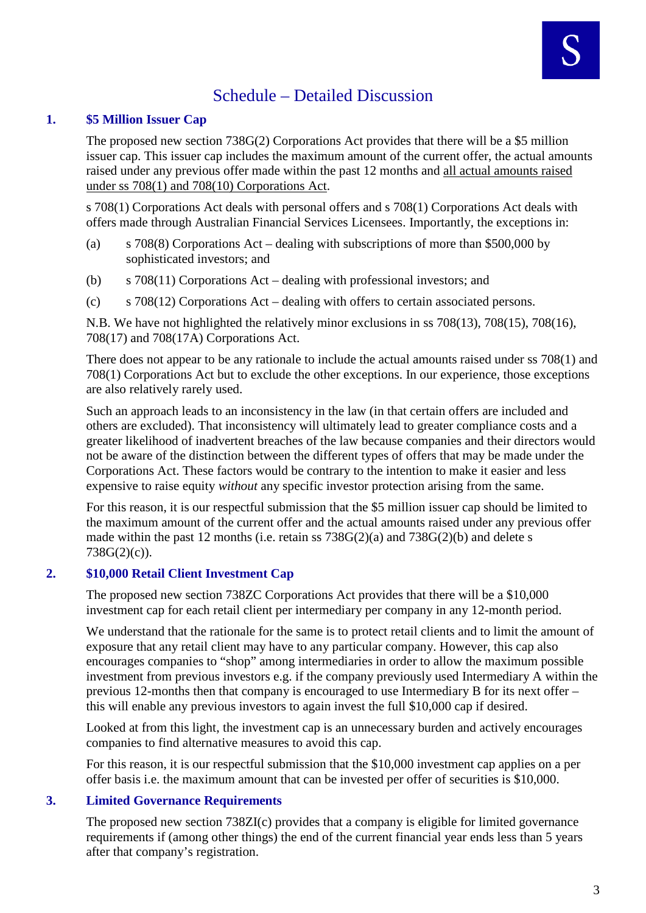# Schedule – Detailed Discussion

# **1. \$5 Million Issuer Cap**

The proposed new section 738G(2) Corporations Act provides that there will be a \$5 million issuer cap. This issuer cap includes the maximum amount of the current offer, the actual amounts raised under any previous offer made within the past 12 months and all actual amounts raised under ss 708(1) and 708(10) Corporations Act.

s 708(1) Corporations Act deals with personal offers and s 708(1) Corporations Act deals with offers made through Australian Financial Services Licensees. Importantly, the exceptions in:

- (a) s 708(8) Corporations Act dealing with subscriptions of more than \$500,000 by sophisticated investors; and
- (b) s 708(11) Corporations Act dealing with professional investors; and
- (c) s 708(12) Corporations Act dealing with offers to certain associated persons.

N.B. We have not highlighted the relatively minor exclusions in ss 708(13), 708(15), 708(16), 708(17) and 708(17A) Corporations Act.

There does not appear to be any rationale to include the actual amounts raised under ss 708(1) and 708(1) Corporations Act but to exclude the other exceptions. In our experience, those exceptions are also relatively rarely used.

Such an approach leads to an inconsistency in the law (in that certain offers are included and others are excluded). That inconsistency will ultimately lead to greater compliance costs and a greater likelihood of inadvertent breaches of the law because companies and their directors would not be aware of the distinction between the different types of offers that may be made under the Corporations Act. These factors would be contrary to the intention to make it easier and less expensive to raise equity *without* any specific investor protection arising from the same.

For this reason, it is our respectful submission that the \$5 million issuer cap should be limited to the maximum amount of the current offer and the actual amounts raised under any previous offer made within the past 12 months (i.e. retain ss 738G(2)(a) and 738G(2)(b) and delete s 738G(2)(c)).

# **2. \$10,000 Retail Client Investment Cap**

The proposed new section 738ZC Corporations Act provides that there will be a \$10,000 investment cap for each retail client per intermediary per company in any 12-month period.

We understand that the rationale for the same is to protect retail clients and to limit the amount of exposure that any retail client may have to any particular company. However, this cap also encourages companies to "shop" among intermediaries in order to allow the maximum possible investment from previous investors e.g. if the company previously used Intermediary A within the previous 12-months then that company is encouraged to use Intermediary B for its next offer – this will enable any previous investors to again invest the full \$10,000 cap if desired.

Looked at from this light, the investment cap is an unnecessary burden and actively encourages companies to find alternative measures to avoid this cap.

For this reason, it is our respectful submission that the \$10,000 investment cap applies on a per offer basis i.e. the maximum amount that can be invested per offer of securities is \$10,000.

# **3. Limited Governance Requirements**

The proposed new section 738ZI(c) provides that a company is eligible for limited governance requirements if (among other things) the end of the current financial year ends less than 5 years after that company's registration.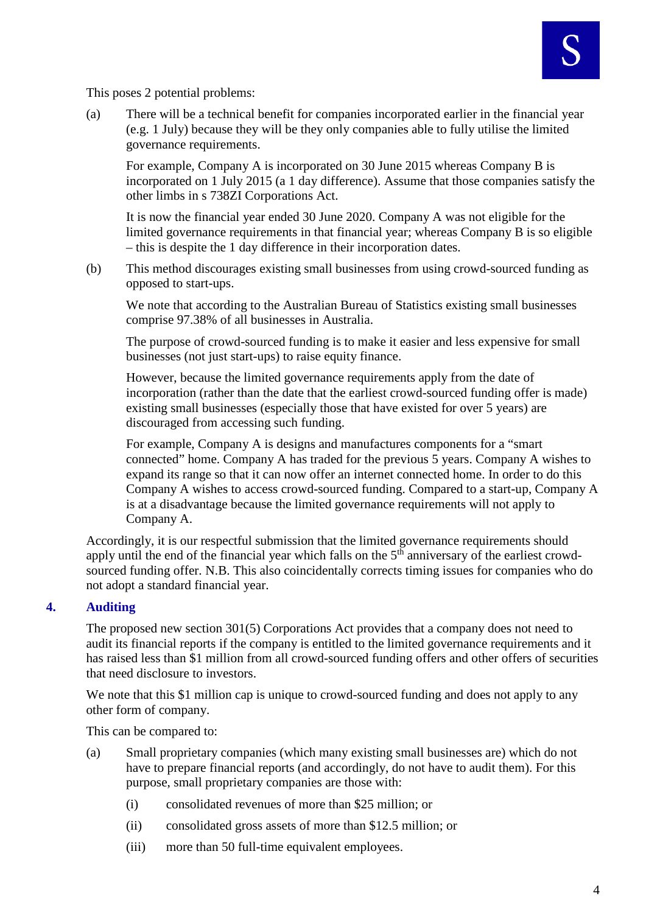This poses 2 potential problems:

(a) There will be a technical benefit for companies incorporated earlier in the financial year (e.g. 1 July) because they will be they only companies able to fully utilise the limited governance requirements.

For example, Company A is incorporated on 30 June 2015 whereas Company B is incorporated on 1 July 2015 (a 1 day difference). Assume that those companies satisfy the other limbs in s 738ZI Corporations Act.

It is now the financial year ended 30 June 2020. Company A was not eligible for the limited governance requirements in that financial year; whereas Company B is so eligible – this is despite the 1 day difference in their incorporation dates.

(b) This method discourages existing small businesses from using crowd-sourced funding as opposed to start-ups.

We note that according to the Australian Bureau of Statistics existing small businesses comprise 97.38% of all businesses in Australia.

The purpose of crowd-sourced funding is to make it easier and less expensive for small businesses (not just start-ups) to raise equity finance.

However, because the limited governance requirements apply from the date of incorporation (rather than the date that the earliest crowd-sourced funding offer is made) existing small businesses (especially those that have existed for over 5 years) are discouraged from accessing such funding.

For example, Company A is designs and manufactures components for a "smart connected" home. Company A has traded for the previous 5 years. Company A wishes to expand its range so that it can now offer an internet connected home. In order to do this Company A wishes to access crowd-sourced funding. Compared to a start-up, Company A is at a disadvantage because the limited governance requirements will not apply to Company A.

Accordingly, it is our respectful submission that the limited governance requirements should apply until the end of the financial year which falls on the 5<sup>th</sup> anniversary of the earliest crowdsourced funding offer. N.B. This also coincidentally corrects timing issues for companies who do not adopt a standard financial year.

# **4. Auditing**

The proposed new section 301(5) Corporations Act provides that a company does not need to audit its financial reports if the company is entitled to the limited governance requirements and it has raised less than \$1 million from all crowd-sourced funding offers and other offers of securities that need disclosure to investors.

We note that this \$1 million cap is unique to crowd-sourced funding and does not apply to any other form of company.

This can be compared to:

- (a) Small proprietary companies (which many existing small businesses are) which do not have to prepare financial reports (and accordingly, do not have to audit them). For this purpose, small proprietary companies are those with:
	- (i) consolidated revenues of more than \$25 million; or
	- (ii) consolidated gross assets of more than \$12.5 million; or
	- (iii) more than 50 full-time equivalent employees.